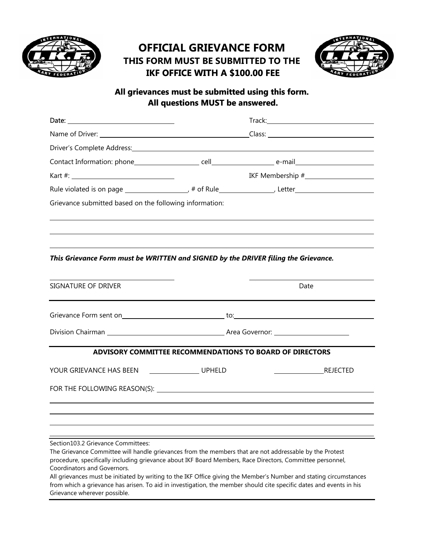

## **OFFICIAL GRIEVANCE FORM THIS FORM MUST BE SUBMITTED TO THE IKF OFFICE WITH A \$100.00 FEE**



## **All grievances must be submitted using this form. All questions MUST be answered.**

| Driver's Complete Address: Manual Address: All Annual Address: All Annual Address: All Annual Address: All Annu |  |                                                          |
|-----------------------------------------------------------------------------------------------------------------|--|----------------------------------------------------------|
|                                                                                                                 |  |                                                          |
|                                                                                                                 |  |                                                          |
|                                                                                                                 |  |                                                          |
| Grievance submitted based on the following information:                                                         |  |                                                          |
|                                                                                                                 |  |                                                          |
|                                                                                                                 |  |                                                          |
|                                                                                                                 |  |                                                          |
| This Grievance Form must be WRITTEN and SIGNED by the DRIVER filing the Grievance.                              |  |                                                          |
|                                                                                                                 |  |                                                          |
| SIGNATURE OF DRIVER                                                                                             |  | Date                                                     |
|                                                                                                                 |  |                                                          |
|                                                                                                                 |  |                                                          |
|                                                                                                                 |  |                                                          |
|                                                                                                                 |  |                                                          |
|                                                                                                                 |  | ADVISORY COMMITTEE RECOMMENDATIONS TO BOARD OF DIRECTORS |
| YOUR GRIEVANCE HAS BEEN UPHELD                                                                                  |  | <b>REJECTED</b>                                          |
|                                                                                                                 |  |                                                          |
|                                                                                                                 |  |                                                          |
|                                                                                                                 |  |                                                          |
|                                                                                                                 |  |                                                          |
| Section103.2 Grievance Committees:                                                                              |  |                                                          |

The Grievance Committee will handle grievances from the members that are not addressable by the Protest procedure, specifically including grievance about IKF Board Members, Race Directors, Committee personnel, Coordinators and Governors.

All grievances must be initiated by writing to the IKF Office giving the Member's Number and stating circumstances from which a grievance has arisen. To aid in investigation, the member should cite specific dates and events in his Grievance wherever possible.